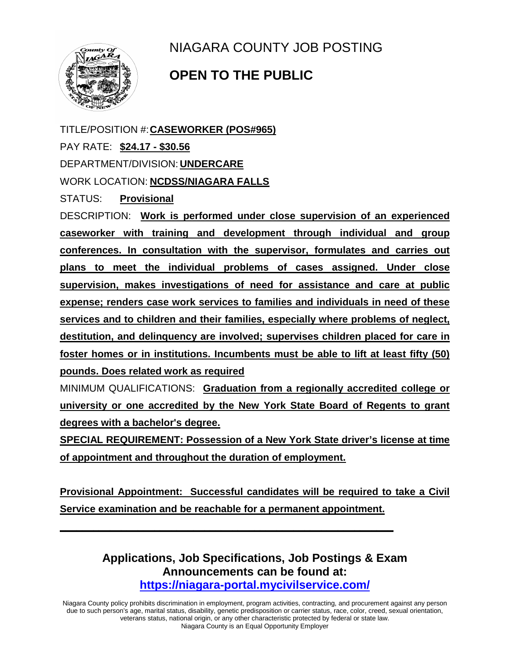

NIAGARA COUNTY JOB POSTING

## **OPEN TO THE PUBLIC**

TITLE/POSITION #:**CASEWORKER (POS#965)**

PAY RATE: **\$24.17 - \$30.56**

DEPARTMENT/DIVISION: **UNDERCARE**

WORK LOCATION: **NCDSS/NIAGARA FALLS**

STATUS: **Provisional**

DESCRIPTION: **Work is performed under close supervision of an experienced caseworker with training and development through individual and group conferences. In consultation with the supervisor, formulates and carries out plans to meet the individual problems of cases assigned. Under close supervision, makes investigations of need for assistance and care at public expense; renders case work services to families and individuals in need of these services and to children and their families, especially where problems of neglect, destitution, and delinquency are involved; supervises children placed for care in foster homes or in institutions. Incumbents must be able to lift at least fifty (50) pounds. Does related work as required**

MINIMUM QUALIFICATIONS: **Graduation from a regionally accredited college or university or one accredited by the New York State Board of Regents to grant degrees with a bachelor's degree.** 

**SPECIAL REQUIREMENT: Possession of a New York State driver's license at time of appointment and throughout the duration of employment.**

**Provisional Appointment: Successful candidates will be required to take a Civil Service examination and be reachable for a permanent appointment.**

**\_\_\_\_\_\_\_\_\_\_\_\_\_\_\_\_\_\_\_\_\_\_\_\_\_\_\_\_\_\_\_\_\_\_\_\_\_\_\_\_\_\_\_\_\_\_\_\_\_\_\_\_\_\_\_\_\_\_\_\_**

**Applications, Job Specifications, Job Postings & Exam Announcements can be found at: <https://niagara-portal.mycivilservice.com/>**

Niagara County policy prohibits discrimination in employment, program activities, contracting, and procurement against any person due to such person's age, marital status, disability, genetic predisposition or carrier status, race, color, creed, sexual orientation, veterans status, national origin, or any other characteristic protected by federal or state law. Niagara County is an Equal Opportunity Employer